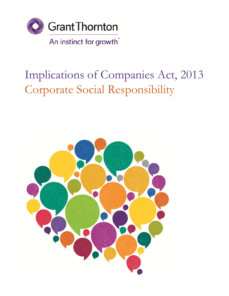

# Implications of Companies Act, 2013 Corporate Social Responsibility

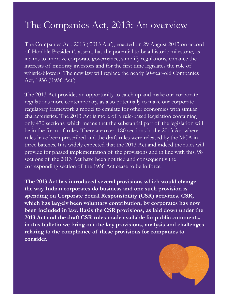# The Companies Act, 2013: An overview

The Companies Act, 2013 ('2013 Act'), enacted on 29 August 2013 on accord of Hon'ble President's assent, has the potential to be a historic milestone, as it aims to improve corporate governance, simplify regulations, enhance the interests of minority investors and for the first time legislates the role of whistle-blowers. The new law will replace the nearly 60-year-old Companies Act, 1956 ('1956 Act').

The 2013 Act provides an opportunity to catch up and make our corporate regulations more contemporary, as also potentially to make our corporate regulatory framework a model to emulate for other economies with similar characteristics. The 2013 Act is more of a rule-based legislation containing only 470 sections, which means that the substantial part of the legislation will be in the form of rules. There are over 180 sections in the 2013 Act where rules have been prescribed and the draft rules were released by the MCA in three batches. It is widely expected that the 2013 Act and indeed the rules will provide for phased implementation of the provisions and in line with this, 98 sections of the 2013 Act have been notified and consequently the corresponding section of the 1956 Act cease to be in force.

**The 2013 Act has introduced several provisions which would change the way Indian corporates do business and one such provision is spending on Corporate Social Responsibility (CSR) activities. CSR, which has largely been voluntary contribution, by corporates has now been included in law. Basis the CSR provisions, as laid down under the 2013 Act and the draft CSR rules made available for public comments, in this bulletin we bring out the key provisions, analysis and challenges relating to the compliance of these provisions for companies to consider.**

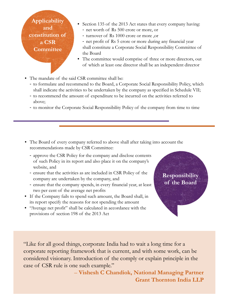**Applicability and constitution of a CSR Committee**

- Section 135 of the 2013 Act states that every company having:
	- net worth of Rs 500 crore or more, or
	- turnover of Rs 1000 crore or more ,or
	- net profit of Rs 5 crore or more during any financial year shall constitute a Corporate Social Responsibility Committee of the Board
- The committee would comprise of three or more directors, out of which at least one director shall be an independent director
- The mandate of the said CSR committee shall be:
	- to formulate and recommend to the Board, a Corporate Social Responsibility Policy, which shall indicate the activities to be undertaken by the company as specified in Schedule VII;
	- to recommend the amount of expenditure to be incurred on the activities referred to above;
	- to monitor the Corporate Social Responsibility Policy of the company from time to time
- The Board of every company referred to above shall after taking into account the recommendations made by CSR Committee:
	- approve the CSR Policy for the company and disclose contents of such Policy in its report and also place it on the company's website, and
	- ensure that the activities as are included in CSR Policy of the company are undertaken by the company, and
	- ensure that the company spends, in every financial year, at least two per cent of the average net profits
- If the Company fails to spend such amount, the Board shall, in its report specify the reasons for not spending the amount
- "Average net profit" shall be calculated in accordance with the provisions of section 198 of the 2013 Act



"Like for all good things, corporate India had to wait a long time for a corporate reporting framework that is current, and with some work, can be considered visionary. Introduction of the comply or explain principle in the case of CSR rule is one such example."

> – **Vishesh C Chandiok, National Managing Partner Grant Thornton India LLP**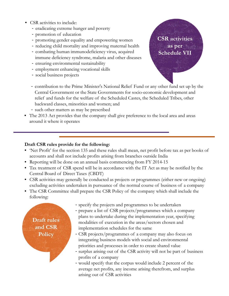- CSR activities to include:
	- eradicating extreme hunger and poverty
	- promotion of education
	- promoting gender equality and empowering women
	- reducing child mortality and improving maternal health
	- combating human immunodeficiency virus, acquired immune deficiency syndrome, malaria and other diseases
	- ensuring environmental sustainability
	- employment enhancing vocational skills
	- social business projects
	- contribution to the Prime Minister's National Relief Fund or any other fund set up by the Central Government or the State Governments for socio-economic development and relief and funds for the welfare of the Scheduled Castes, the Scheduled Tribes, other backward classes, minorities and women; and
	- such other matters as may be prescribed
- The 2013 Act provides that the company shall give preference to the local area and areas around it where it operates

### **Draft CSR rules provide for the following:**

- 'Net Profit' for the section 135 and these rules shall mean, net profit before tax as per books of accounts and shall not include profits arising from branches outside India
- Reporting will be done on an annual basis commencing from FY 2014-15
- Tax treatment of CSR spend will be in accordance with the IT Act as may be notified by the Central Board of Direct Taxes (CBDT)
- CSR activities may generally be conducted as projects or programmes (either new or ongoing) excluding activities undertaken in pursuance of the normal course of business of a company
- The CSR Committee shall prepare the CSR Policy of the company which shall include the following:

**Draft rules and CSR Policy** 

- specify the projects and programmes to be undertaken
- prepare a list of CSR projects/programmes which a company plans to undertake during the implementation year, specifying modalities of execution in the areas/sectors chosen and implementation schedules for the same
- CSR projects/programmes of a company may also focus on integrating business models with social and environmental priorities and processes in order to create shared value
- surplus arising out of the CSR activity will not be part of business profits of a company
- would specify that the corpus would include 2 percent of the average net profits, any income arising therefrom, and surplus arising out of CSR activities

**CSR activities as per Schedule VII**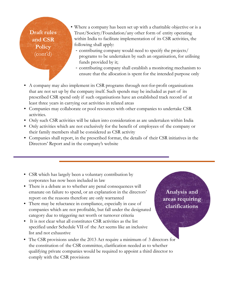**Draft rules and CSR Policy**  (cont'd)

- Where a company has been set up with a charitable objective or is a Trust/Society/Foundation/any other form of entity operating within India to facilitate implementation of its CSR activities, the following shall apply:
	- contributing company would need to specify the projects/ programs to be undertaken by such an organisation, for utilising funds provided by it;
	- contributing company shall establish a monitoring mechanism to ensure that the allocation is spent for the intended purpose only
- A company may also implement its CSR programs through not-for-profit organisations that are not set up by the company itself. Such spends may be included as part of its prescribed CSR spend only if such organisations have an established track record of at least three years in carrying out activities in related areas
- Companies may collaborate or pool resources with other companies to undertake CSR activities.
- Only such CSR activities will be taken into consideration as are undertaken within India
- Only activities which are not exclusively for the benefit of employees of the company or their family members shall be considered as CSR activity
- Companies shall report, in the prescribed format, the details of their CSR initiatives in the Directors' Report and in the company's website
- CSR which has largely been a voluntary contribution by corporates has now been included in law
- There is a debate as to whether any penal consequences will emanate on failure to spend, or an explanation in the directors' report on the reasons therefore are only warranted
- There may be reluctance in compliance, especially in case of companies which are not profitable, but fall under the designated category due to triggering net worth or turnover criteria
- It is not clear what all constitutes CSR activities as the list specified under Schedule VII of the Act seems like an inclusive list and not exhaustive
- The CSR provisions under the 2013 Act require a minimum of 3 directors for the constitution of the CSR committee, clarification needed as to whether qualifying private companies would be required to appoint a third director to comply with the CSR provisions

**Analysis and areas requiring clarifications**